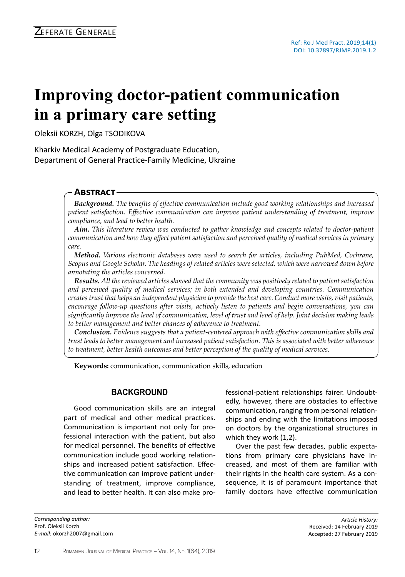# **Improving doctor-patient communication in a primary care setting**

Oleksii KORZH, Olga TSODIKOVA

Kharkiv Medical Academy of Postgraduate Education, Department of General Practice-Family Medicine, Ukraine

## **Abstract**

*Background. The benefits of effective communication include good working relationships and increased patient satisfaction. Effective communication can improve patient understanding of treatment, improve compliance, and lead to better health.*

*Aim. This literature review was conducted to gather knowledge and concepts related to doctor-patient communication and how they affect patient satisfaction and perceived quality of medical services in primary care.* 

*Method. Various electronic databases were used to search for articles, including PubMed, Cochrane, Scopus and Google Scholar. The headings of related articles were selected, which were narrowed down before annotating the articles concerned.* 

*Results. All the reviewed articles showed that the community was positively related to patient satisfaction and perceived quality of medical services; in both extended and developing countries. Communication creates trust that helps an independent physician to provide the best care. Conduct more visits, visit patients, encourage follow-up questions after visits, actively listen to patients and begin conversations, you can significantly improve the level of communication, level of trust and level of help. Joint decision making leads to better management and better chances of adherence to treatment.*

*Conclusion. Evidence suggests that a patient-centered approach with effective communication skills and trust leads to better management and increased patient satisfaction. This is associated with better adherence to treatment, better health outcomes and better perception of the quality of medical services.*

**Keywords:** communication, communication skills, education

## **Background**

Good communication skills are an integral part of medical and other medical practices. Communication is important not only for professional interaction with the patient, but also for medical personnel. The benefits of effective communication include good working relationships and increased patient satisfaction. Effective communication can improve patient understanding of treatment, improve compliance, and lead to better health. It can also make pro-

*Corresponding author:*  Prof. Oleksii Korzh *E-mail:* okorzh2007@gmail.com fessional-patient relationships fairer. Undoubtedly, however, there are obstacles to effective communication, ranging from personal relationships and ending with the limitations imposed on doctors by the organizational structures in which they work (1,2).

Over the past few decades, public expectations from primary care physicians have increased, and most of them are familiar with their rights in the health care system. As a consequence, it is of paramount importance that family doctors have effective communication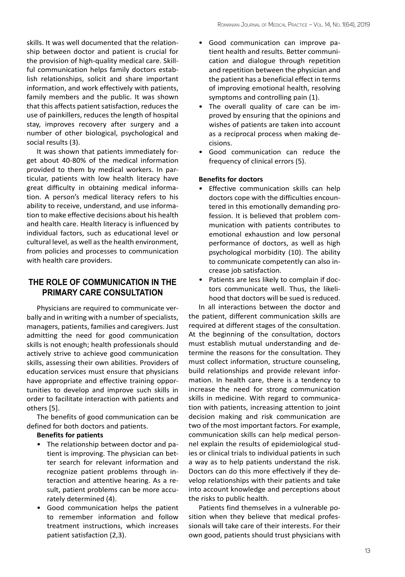skills. It was well documented that the relationship between doctor and patient is crucial for the provision of high-quality medical care. Skillful communication helps family doctors establish relationships, solicit and share important information, and work effectively with patients, family members and the public. It was shown that this affects patient satisfaction, reduces the use of painkillers, reduces the length of hospital stay, improves recovery after surgery and a number of other biological, psychological and social results (3).

It was shown that patients immediately forget about 40-80% of the medical information provided to them by medical workers. In particular, patients with low health literacy have great difficulty in obtaining medical information. A person's medical literacy refers to his ability to receive, understand, and use information to make effective decisions about his health and health care. Health literacy is influenced by individual factors, such as educational level or cultural level, as well as the health environment, from policies and processes to communication with health care providers.

# **The role of communication in the primary care consultation**

Physicians are required to communicate verbally and in writing with a number of specialists, managers, patients, families and caregivers. Just admitting the need for good communication skills is not enough; health professionals should actively strive to achieve good communication skills, assessing their own abilities. Providers of education services must ensure that physicians have appropriate and effective training opportunities to develop and improve such skills in order to facilitate interaction with patients and others [5].

The benefits of good communication can be defined for both doctors and patients.

### **Benefits for patients**

- The relationship between doctor and patient is improving. The physician can better search for relevant information and recognize patient problems through interaction and attentive hearing. As a result, patient problems can be more accurately determined (4).
- Good communication helps the patient to remember information and follow treatment instructions, which increases patient satisfaction (2,3).
- Good communication can improve patient health and results. Better communication and dialogue through repetition and repetition between the physician and the patient has a beneficial effect in terms of improving emotional health, resolving symptoms and controlling pain (1).
- The overall quality of care can be improved by ensuring that the opinions and wishes of patients are taken into account as a reciprocal process when making decisions.
- Good communication can reduce the frequency of clinical errors (5).

#### **Benefits for doctors**

- Effective communication skills can help doctors cope with the difficulties encountered in this emotionally demanding profession. It is believed that problem communication with patients contributes to emotional exhaustion and low personal performance of doctors, as well as high psychological morbidity (10). The ability to communicate competently can also increase job satisfaction.
- Patients are less likely to complain if doctors communicate well. Thus, the likelihood that doctors will be sued is reduced.

In all interactions between the doctor and the patient, different communication skills are required at different stages of the consultation. At the beginning of the consultation, doctors must establish mutual understanding and determine the reasons for the consultation. They must collect information, structure counseling, build relationships and provide relevant information. In health care, there is a tendency to increase the need for strong communication skills in medicine. With regard to communication with patients, increasing attention to joint decision making and risk communication are two of the most important factors. For example, communication skills can help medical personnel explain the results of epidemiological studies or clinical trials to individual patients in such a way as to help patients understand the risk. Doctors can do this more effectively if they develop relationships with their patients and take into account knowledge and perceptions about the risks to public health.

Patients find themselves in a vulnerable position when they believe that medical professionals will take care of their interests. For their own good, patients should trust physicians with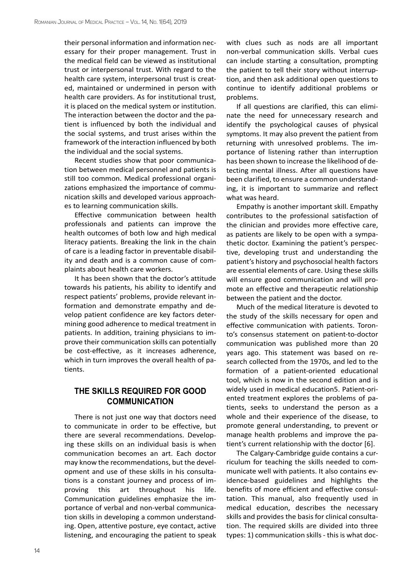their personal information and information necessary for their proper management. Trust in the medical field can be viewed as institutional trust or interpersonal trust. With regard to the health care system, interpersonal trust is created, maintained or undermined in person with health care providers. As for institutional trust, it is placed on the medical system or institution. The interaction between the doctor and the patient is influenced by both the individual and the social systems, and trust arises within the framework of the interaction influenced by both the individual and the social systems.

Recent studies show that poor communication between medical personnel and patients is still too common. Medical professional organizations emphasized the importance of communication skills and developed various approaches to learning communication skills.

Effective communication between health professionals and patients can improve the health outcomes of both low and high medical literacy patients. Breaking the link in the chain of care is a leading factor in preventable disability and death and is a common cause of complaints about health care workers.

It has been shown that the doctor's attitude towards his patients, his ability to identify and respect patients' problems, provide relevant information and demonstrate empathy and develop patient confidence are key factors determining good adherence to medical treatment in patients. In addition, training physicians to improve their communication skills can potentially be cost-effective, as it increases adherence, which in turn improves the overall health of patients.

## **The skills required for good communication**

There is not just one way that doctors need to communicate in order to be effective, but there are several recommendations. Developing these skills on an individual basis is when communication becomes an art. Each doctor may know the recommendations, but the development and use of these skills in his consultations is a constant journey and process of improving this art throughout his life. Communication guidelines emphasize the importance of verbal and non-verbal communication skills in developing a common understanding. Open, attentive posture, eye contact, active listening, and encouraging the patient to speak with clues such as nods are all important non-verbal communication skills. Verbal cues can include starting a consultation, prompting the patient to tell their story without interruption, and then ask additional open questions to continue to identify additional problems or problems.

If all questions are clarified, this can eliminate the need for unnecessary research and identify the psychological causes of physical symptoms. It may also prevent the patient from returning with unresolved problems. The importance of listening rather than interruption has been shown to increase the likelihood of detecting mental illness. After all questions have been clarified, to ensure a common understanding, it is important to summarize and reflect what was heard.

Empathy is another important skill. Empathy contributes to the professional satisfaction of the clinician and provides more effective care, as patients are likely to be open with a sympathetic doctor. Examining the patient's perspective, developing trust and understanding the patient's history and psychosocial health factors are essential elements of care. Using these skills will ensure good communication and will promote an effective and therapeutic relationship between the patient and the doctor.

Much of the medical literature is devoted to the study of the skills necessary for open and effective communication with patients. Toronto's consensus statement on patient-to-doctor communication was published more than 20 years ago. This statement was based on research collected from the 1970s, and led to the formation of a patient-oriented educational tool, which is now in the second edition and is widely used in medical education5. Patient-oriented treatment explores the problems of patients, seeks to understand the person as a whole and their experience of the disease, to promote general understanding, to prevent or manage health problems and improve the patient's current relationship with the doctor [6].

The Calgary-Cambridge guide contains a curriculum for teaching the skills needed to communicate well with patients. It also contains evidence-based guidelines and highlights the benefits of more efficient and effective consultation. This manual, also frequently used in medical education, describes the necessary skills and provides the basis for clinical consultation. The required skills are divided into three types: 1) communication skills - this is what doc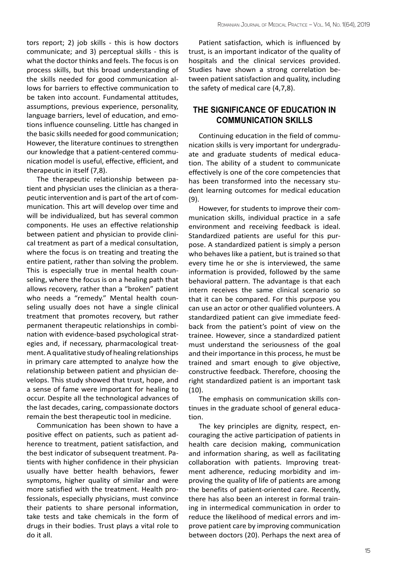tors report; 2) job skills - this is how doctors communicate; and 3) perceptual skills - this is what the doctor thinks and feels. The focus is on process skills, but this broad understanding of the skills needed for good communication allows for barriers to effective communication to be taken into account. Fundamental attitudes, assumptions, previous experience, personality, language barriers, level of education, and emotions influence counseling. Little has changed in the basic skills needed for good communication; However, the literature continues to strengthen our knowledge that a patient-centered communication model is useful, effective, efficient, and therapeutic in itself (7,8).

The therapeutic relationship between patient and physician uses the clinician as a therapeutic intervention and is part of the art of communication. This art will develop over time and will be individualized, but has several common components. He uses an effective relationship between patient and physician to provide clinical treatment as part of a medical consultation, where the focus is on treating and treating the entire patient, rather than solving the problem. This is especially true in mental health counseling, where the focus is on a healing path that allows recovery, rather than a "broken" patient who needs a "remedy." Mental health counseling usually does not have a single clinical treatment that promotes recovery, but rather permanent therapeutic relationships in combination with evidence-based psychological strategies and, if necessary, pharmacological treatment. A qualitative study of healing relationships in primary care attempted to analyze how the relationship between patient and physician develops. This study showed that trust, hope, and a sense of fame were important for healing to occur. Despite all the technological advances of the last decades, caring, compassionate doctors remain the best therapeutic tool in medicine.

Communication has been shown to have a positive effect on patients, such as patient adherence to treatment, patient satisfaction, and the best indicator of subsequent treatment. Patients with higher confidence in their physician usually have better health behaviors, fewer symptoms, higher quality of similar and were more satisfied with the treatment. Health professionals, especially physicians, must convince their patients to share personal information, take tests and take chemicals in the form of drugs in their bodies. Trust plays a vital role to do it all.

Patient satisfaction, which is influenced by trust, is an important indicator of the quality of hospitals and the clinical services provided. Studies have shown a strong correlation between patient satisfaction and quality, including the safety of medical care (4,7,8).

## **The significance of education in communication skills**

Continuing education in the field of communication skills is very important for undergraduate and graduate students of medical education. The ability of a student to communicate effectively is one of the core competencies that has been transformed into the necessary student learning outcomes for medical education (9).

However, for students to improve their communication skills, individual practice in a safe environment and receiving feedback is ideal. Standardized patients are useful for this purpose. A standardized patient is simply a person who behaves like a patient, but is trained so that every time he or she is interviewed, the same information is provided, followed by the same behavioral pattern. The advantage is that each intern receives the same clinical scenario so that it can be compared. For this purpose you can use an actor or other qualified volunteers. A standardized patient can give immediate feedback from the patient's point of view on the trainee. However, since a standardized patient must understand the seriousness of the goal and their importance in this process, he must be trained and smart enough to give objective, constructive feedback. Therefore, choosing the right standardized patient is an important task (10).

The emphasis on communication skills continues in the graduate school of general education.

The key principles are dignity, respect, encouraging the active participation of patients in health care decision making, communication and information sharing, as well as facilitating collaboration with patients. Improving treatment adherence, reducing morbidity and improving the quality of life of patients are among the benefits of patient-oriented care. Recently, there has also been an interest in formal training in intermedical communication in order to reduce the likelihood of medical errors and improve patient care by improving communication between doctors (20). Perhaps the next area of